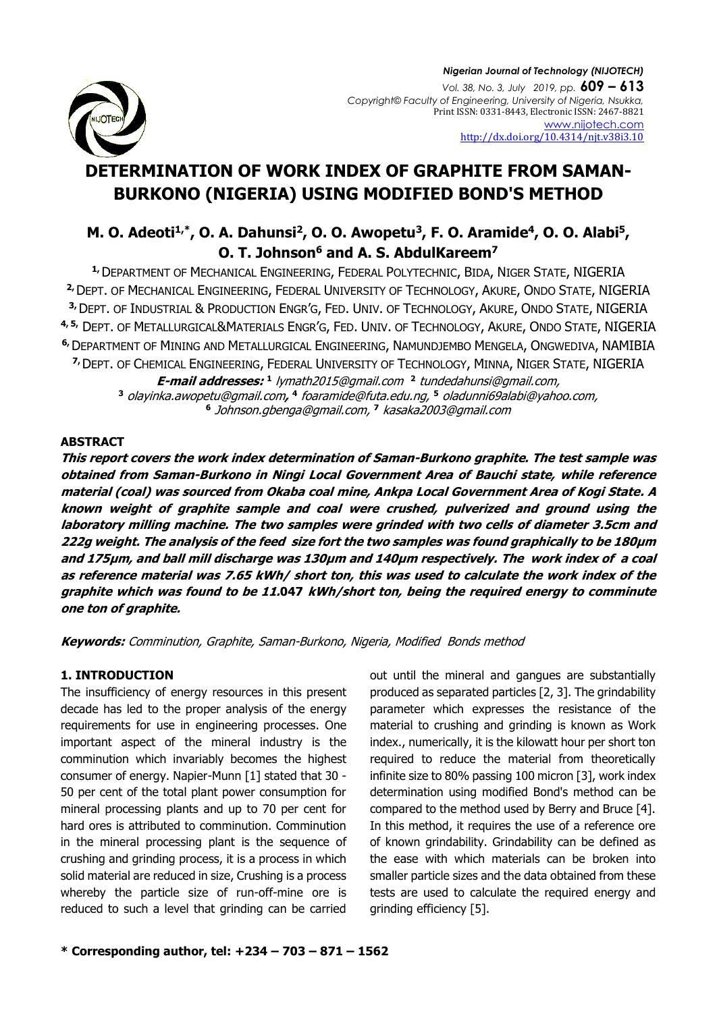

# **DETERMINATION OF WORK INDEX OF GRAPHITE FROM SAMAN-BURKONO (NIGERIA) USING MODIFIED BOND'S METHOD**

## **M. O. Adeoti1,\* , O. A. Dahunsi<sup>2</sup> , O. O. Awopetu<sup>3</sup> , F. O. Aramide<sup>4</sup> , O. O. Alabi<sup>5</sup> , O. T. Johnson<sup>6</sup> and A. S. AbdulKareem<sup>7</sup>**

**1,**DEPARTMENT OF MECHANICAL ENGINEERING, FEDERAL POLYTECHNIC, BIDA, NIGER STATE, NIGERIA **2,**DEPT. OF MECHANICAL ENGINEERING, FEDERAL UNIVERSITY OF TECHNOLOGY, AKURE, ONDO STATE, NIGERIA **3,**DEPT. OF INDUSTRIAL & PRODUCTION ENGR'G, FED. UNIV. OF TECHNOLOGY, AKURE, ONDO STATE, NIGERIA **4, 5,** DEPT. OF METALLURGICAL&MATERIALS ENGR'G, FED. UNIV. OF TECHNOLOGY, AKURE, ONDO STATE, NIGERIA **6,**DEPARTMENT OF MINING AND METALLURGICAL ENGINEERING, NAMUNDJEMBO MENGELA, ONGWEDIVA, NAMIBIA **7,**DEPT. OF CHEMICAL ENGINEERING, FEDERAL UNIVERSITY OF TECHNOLOGY, MINNA, NIGER STATE, NIGERIA **E-mail addresses: 1** [lymath2015@gmail.com](mailto:lymath2015@gmail.com)  **2** [tundedahunsi@gmail.com,](mailto:tundedahunsi@gmail.com) **<sup>3</sup>** [olayinka.awopetu@gmail.com](mailto:olayinka.awopetu@gmail.com)**, 4** [foaramide@futa.edu.ng,](mailto:foaramide@futa.edu.ng,5) **<sup>5</sup>** [oladunni69alabi@yahoo.com,](mailto:oladunni69alabi@yahoo.com) **6** [Johnson.gbenga@gmail.com,](mailto:Johnson.gbenga@gmail.com) **<sup>7</sup>** [kasaka2003@gmail.com](mailto:kasaka2003@gmail.com)

#### **ABSTRACT**

**This report covers the work index determination of Saman-Burkono graphite. The test sample was obtained from Saman-Burkono in Ningi Local Government Area of Bauchi state, while reference material (coal) was sourced from Okaba coal mine, Ankpa Local Government Area of Kogi State. A known weight of graphite sample and coal were crushed, pulverized and ground using the laboratory milling machine. The two samples were grinded with two cells of diameter 3.5cm and 222g weight. The analysis of the feed size fort the two samples was found graphically to be 180μm and 175μm, and ball mill discharge was 130μm and 140μm respectively. The work index of a coal as reference material was 7.65 kWh/ short ton, this was used to calculate the work index of the graphite which was found to be 11.047 kWh/short ton, being the required energy to comminute one ton of graphite.**

**Keywords:** Comminution, Graphite, Saman-Burkono, Nigeria, Modified Bonds method

## **1. INTRODUCTION**

The insufficiency of energy resources in this present decade has led to the proper analysis of the energy requirements for use in engineering processes. One important aspect of the mineral industry is the comminution which invariably becomes the highest consumer of energy. Napier-Munn [1] stated that 30 - 50 per cent of the total plant power consumption for mineral processing plants and up to 70 per cent for hard ores is attributed to comminution. Comminution in the mineral processing plant is the sequence of crushing and grinding process, it is a process in which solid material are reduced in size, Crushing is a process whereby the particle size of run-off-mine ore is reduced to such a level that grinding can be carried

out until the mineral and gangues are substantially produced as separated particles [2, 3]. The grindability parameter which expresses the resistance of the material to crushing and grinding is known as Work index., numerically, it is the kilowatt hour per short ton required to reduce the material from theoretically infinite size to 80% passing 100 micron [3], work index determination using modified Bond's method can be compared to the method used by Berry and Bruce [4]. In this method, it requires the use of a reference ore of known grindability. Grindability can be defined as the ease with which materials can be broken into smaller particle sizes and the data obtained from these tests are used to calculate the required energy and grinding efficiency [5].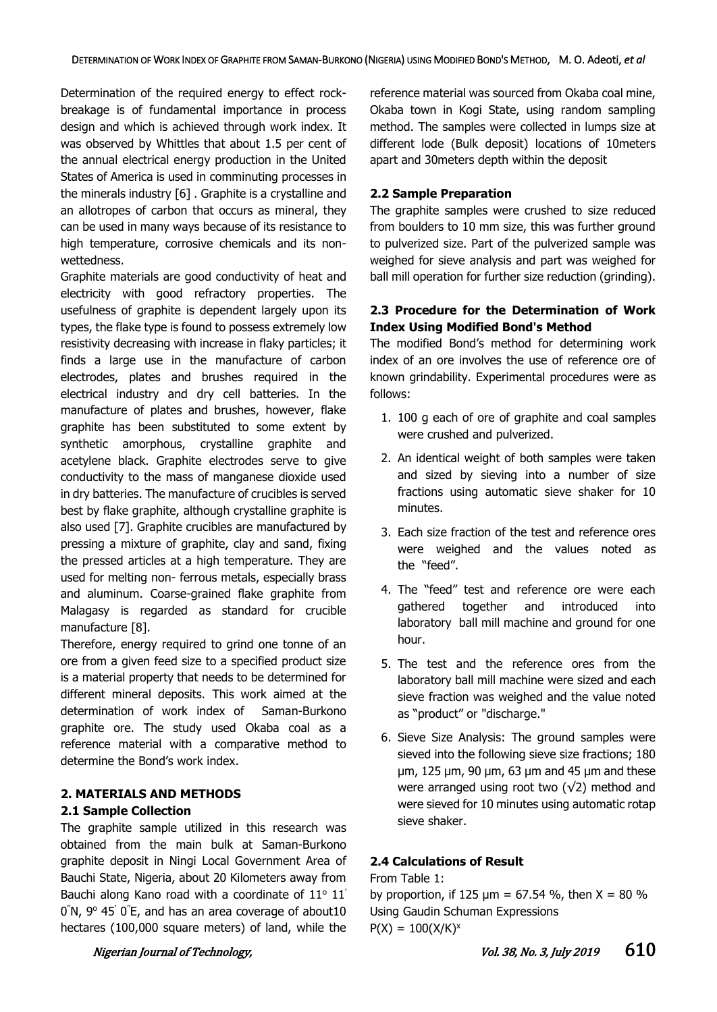Determination of the required energy to effect rockbreakage is of fundamental importance in process design and which is achieved through work index. It was observed by Whittles that about 1.5 per cent of the annual electrical energy production in the United States of America is used in comminuting processes in the minerals industry [6] . Graphite is a crystalline and an allotropes of carbon that occurs as mineral, they can be used in many ways because of its resistance to high temperature, corrosive chemicals and its nonwettedness.

Graphite materials are good conductivity of heat and electricity with good refractory properties. The usefulness of graphite is dependent largely upon its types, the flake type is found to possess extremely low resistivity decreasing with increase in flaky particles; it finds a large use in the manufacture of carbon electrodes, plates and brushes required in the electrical industry and dry cell batteries. In the manufacture of plates and brushes, however, flake graphite has been substituted to some extent by synthetic amorphous, crystalline graphite and acetylene black. Graphite electrodes serve to give conductivity to the mass of manganese dioxide used in dry batteries. The manufacture of crucibles is served best by flake graphite, although crystalline graphite is also used [7]. Graphite crucibles are manufactured by pressing a mixture of graphite, clay and sand, fixing the pressed articles at a high temperature. They are used for melting non- ferrous metals, especially brass and aluminum. Coarse-grained flake graphite from Malagasy is regarded as standard for crucible manufacture [8].

Therefore, energy required to grind one tonne of an ore from a given feed size to a specified product size is a material property that needs to be determined for different mineral deposits. This work aimed at the determination of work index of Saman-Burkono graphite ore. The study used Okaba coal as a reference material with a comparative method to determine the Bond's work index.

## **2. MATERIALS AND METHODS**

#### **2.1 Sample Collection**

The graphite sample utilized in this research was obtained from the main bulk at Saman-Burkono graphite deposit in Ningi Local Government Area of Bauchi State, Nigeria, about 20 Kilometers away from Bauchi along Kano road with a coordinate of  $11^{\circ}$   $11'$  $0\degree$ N,  $9\degree$  45 $\degree$  0 $\degree$ E, and has an area coverage of about10 hectares (100,000 square meters) of land, while the reference material was sourced from Okaba coal mine, Okaba town in Kogi State, using random sampling method. The samples were collected in lumps size at different lode (Bulk deposit) locations of 10meters apart and 30meters depth within the deposit

#### **2.2 Sample Preparation**

The graphite samples were crushed to size reduced from boulders to 10 mm size, this was further ground to pulverized size. Part of the pulverized sample was weighed for sieve analysis and part was weighed for ball mill operation for further size reduction (grinding).

### **2.3 Procedure for the Determination of Work Index Using Modified Bond's Method**

The modified Bond's method for determining work index of an ore involves the use of reference ore of known grindability. Experimental procedures were as follows:

- 1. 100 g each of ore of graphite and coal samples were crushed and pulverized.
- 2. An identical weight of both samples were taken and sized by sieving into a number of size fractions using automatic sieve shaker for 10 minutes.
- 3. Each size fraction of the test and reference ores were weighed and the values noted as the "feed".
- 4. The "feed" test and reference ore were each gathered together and introduced into laboratory ball mill machine and ground for one hour.
- 5. The test and the reference ores from the laboratory ball mill machine were sized and each sieve fraction was weighed and the value noted as "product" or "discharge."
- 6. Sieve Size Analysis: The ground samples were sieved into the following sieve size fractions; 180 μm, 125 μm, 90 μm, 63 μm and 45 μm and these were arranged using root two  $(\sqrt{2})$  method and were sieved for 10 minutes using automatic rotap sieve shaker.

## **2.4 Calculations of Result**

## From Table 1:

by proportion, if 125  $\mu$ m = 67.54 %, then X = 80 % Using Gaudin Schuman Expressions  $P(X) = 100(X/K)^{x}$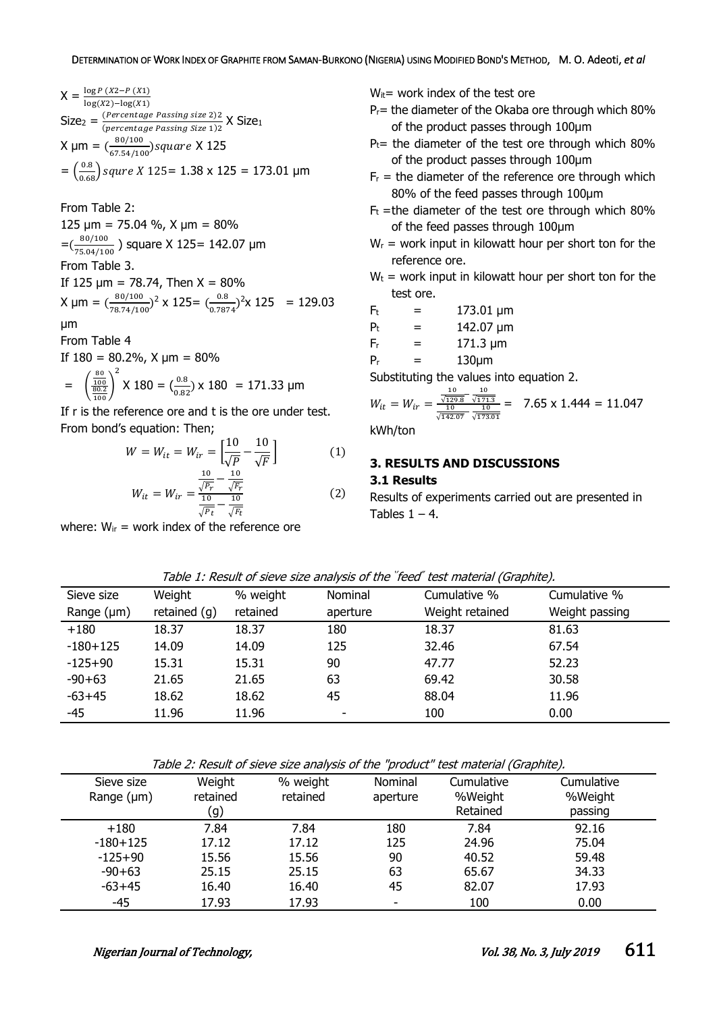$$
X = \frac{\log P (X2 - P (X1))}{\log(X2) - \log(X1)}
$$
  
\nSize<sub>2</sub> =  $\frac{(Percentage \text{ Passing size 2})2}{(percentage \text{Passing Size 1})2}$  X Size<sub>1</sub>  
\n
$$
X \mu m = (\frac{80/100}{67.54/100}) square \times 125
$$
  
\n
$$
= (\frac{0.8}{0.68}) square \times 125 = 1.38 \times 125 = 173.01 \mu m
$$

From Table 2:

125  $\mu$ m = 75.04 %, X  $\mu$ m = 80%

 $=\left(\frac{80/100}{75.04/10}\right)$  $\frac{30/100}{75.04/100}$ ) square X 125 = 142.07 µm

#### From Table 3.

If 125  $\mu$ m = 78.74, Then X = 80% X µm =  $\left(\frac{80/100}{79.74/10}\right)$  $\frac{80/100}{78.74/100}$ <sup>2</sup> x 125=  $\left(\frac{0.8}{0.78}\right)$  $\frac{0.8}{0.7874}$ <sup>2</sup>x 125 = 129.03

$$
\mu\text{m}
$$

From Table 4

If 
$$
180 = 80.2\%
$$
,  $X \mu m = 80\%$ 

$$
= \left(\frac{\frac{80}{100}}{\frac{80.2}{100}}\right)^2 \times 180 = \left(\frac{0.8}{0.82}\right) \times 180 = 171.33 \text{ }\mu\text{m}
$$

If r is the reference ore and t is the ore under test. From bond's equation: Then;

$$
W = W_{it} = W_{ir} = \left[\frac{10}{\sqrt{P}} - \frac{10}{\sqrt{F}}\right]
$$
(1)  

$$
W_{it} = W_{it} = \frac{\frac{10}{\sqrt{P_r}} - \frac{10}{\sqrt{F_r}}}{\sqrt{P_r}}
$$
(2)

$$
W_{it} = W_{ir} = \frac{\sqrt{r} - \sqrt{r}}{\sqrt{p_t} - \sqrt{r}} \tag{2}
$$

where:  $W_{ir}$  = work index of the reference ore

 $W_{it}$ = work index of the test ore

- $P_r$  = the diameter of the Okaba ore through which 80% of the product passes through 100µm
- $P_t$ = the diameter of the test ore through which 80% of the product passes through 100µm
- $F_r$  = the diameter of the reference ore through which 80% of the feed passes through 100µm
- $F_t$  =the diameter of the test ore through which 80% of the feed passes through 100µm
- $W_r$  = work input in kilowatt hour per short ton for the reference ore.
- $W_t$  = work input in kilowatt hour per short ton for the test ore.

$$
F_t = 173.01 \text{ }\mu\text{m}
$$

 $P_t = 142.07 \text{ }\mu\text{m}$ 

- $F_r = 171.3 \text{ µm}$
- $P_r = 130 \mu m$

Substituting the values into equation 2.

$$
W_{it} = W_{ir} = \frac{\frac{10}{\sqrt{129.8}} - \frac{10}{\sqrt{171.3}}}{\frac{10}{\sqrt{142.07}} - \frac{10}{\sqrt{173.01}}} = 7.65 \times 1.444 = 11.047
$$

kWh/ton

## **3. RESULTS AND DISCUSSIONS**

## **3.1 Results**

Results of experiments carried out are presented in Tables  $1 - 4$ .

|  |  | Table 1: Result of sieve size analysis of the 'feed' test material (Graphite). |  |  |
|--|--|--------------------------------------------------------------------------------|--|--|
|--|--|--------------------------------------------------------------------------------|--|--|

| Sieve size      | Weight         | % weight | Nominal                  | Cumulative %    | Cumulative %   |
|-----------------|----------------|----------|--------------------------|-----------------|----------------|
| Range $(\mu m)$ | retained $(g)$ | retained | aperture                 | Weight retained | Weight passing |
| $+180$          | 18.37          | 18.37    | 180                      | 18.37           | 81.63          |
| $-180+125$      | 14.09          | 14.09    | 125                      | 32.46           | 67.54          |
| $-125+90$       | 15.31          | 15.31    | 90                       | 47.77           | 52.23          |
| $-90+63$        | 21.65          | 21.65    | 63                       | 69.42           | 30.58          |
| $-63+45$        | 18.62          | 18.62    | 45                       | 88.04           | 11.96          |
| $-45$           | 11.96          | 11.96    | $\overline{\phantom{a}}$ | 100             | 0.00           |

| Sieve size      | Weight   | % weight | Nominal  | Cumulative | Cumulative |
|-----------------|----------|----------|----------|------------|------------|
| Range $(\mu m)$ | retained | retained | aperture | %Weight    | %Weight    |
|                 | (g)      |          |          | Retained   | passing    |
| $+180$          | 7.84     | 7.84     | 180      | 7.84       | 92.16      |
| $-180+125$      | 17.12    | 17.12    | 125      | 24.96      | 75.04      |
| $-125+90$       | 15.56    | 15.56    | 90       | 40.52      | 59.48      |
| $-90+63$        | 25.15    | 25.15    | 63       | 65.67      | 34.33      |
| $-63+45$        | 16.40    | 16.40    | 45       | 82.07      | 17.93      |
| $-45$           | 17.93    | 17.93    |          | 100        | 0.00       |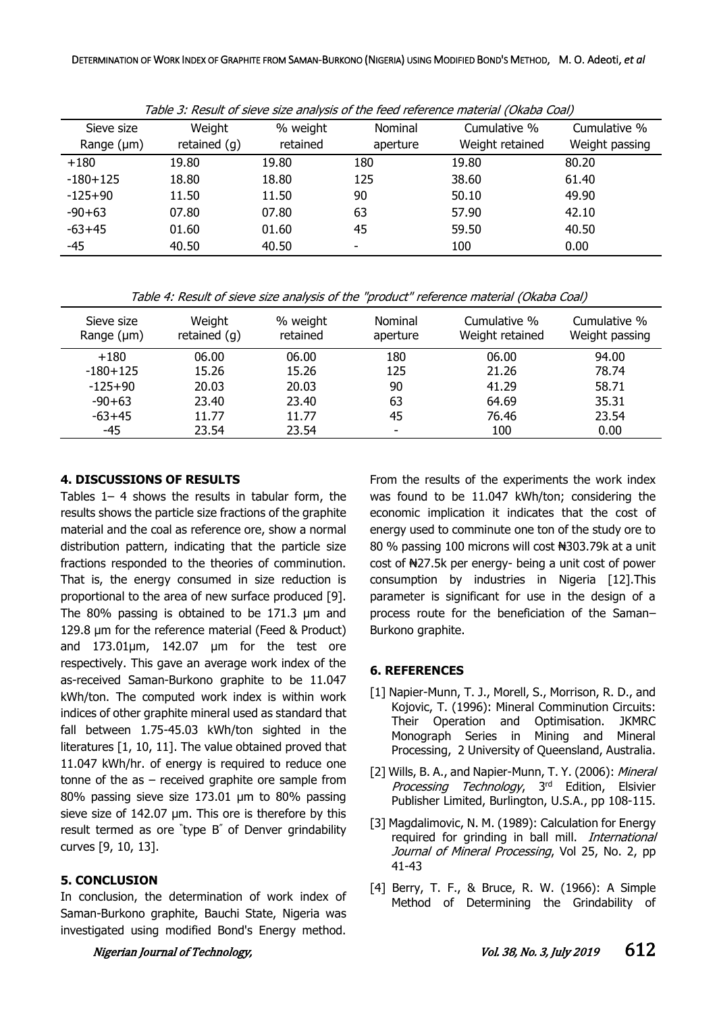| Sieve size<br>Range $(\mu m)$ | Weight<br>retained $(g)$ | % weight<br>retained | Nominal<br>aperture | Cumulative %<br>Weight retained | Cumulative %<br>Weight passing |
|-------------------------------|--------------------------|----------------------|---------------------|---------------------------------|--------------------------------|
| $+180$                        | 19.80                    | 19.80                | 180                 | 19.80                           | 80.20                          |
| $-180 + 125$                  | 18.80                    | 18.80                | 125                 | 38.60                           | 61.40                          |
| $-125+90$                     | 11.50                    | 11.50                | 90                  | 50.10                           | 49.90                          |
| $-90+63$                      | 07.80                    | 07.80                | 63                  | 57.90                           | 42.10                          |
| $-63+45$                      | 01.60                    | 01.60                | 45                  | 59.50                           | 40.50                          |
| -45                           | 40.50                    | 40.50                | ٠                   | 100                             | 0.00                           |

Table 3: Result of sieve size analysis of the feed reference material (Okaba Coal)

Table 4: Result of sieve size analysis of the "product" reference material (Okaba Coal)

| Sieve size<br>Range $(\mu m)$ | Weight<br>retained $(g)$ | % weight<br>retained | Nominal<br>aperture | Cumulative %<br>Weight retained | Cumulative %<br>Weight passing |
|-------------------------------|--------------------------|----------------------|---------------------|---------------------------------|--------------------------------|
| $+180$                        | 06.00                    | 06.00                | 180                 | 06.00                           | 94.00                          |
| $-180+125$                    | 15.26                    | 15.26                | 125                 | 21.26                           | 78.74                          |
| $-125+90$                     | 20.03                    | 20.03                | 90                  | 41.29                           | 58.71                          |
| $-90+63$                      | 23.40                    | 23.40                | 63                  | 64.69                           | 35.31                          |
| $-63+45$                      | 11.77                    | 11.77                | 45                  | 76.46                           | 23.54                          |
| -45                           | 23.54                    | 23.54                |                     | 100                             | 0.00                           |

#### **4. DISCUSSIONS OF RESULTS**

Tables 1– 4 shows the results in tabular form, the results shows the particle size fractions of the graphite material and the coal as reference ore, show a normal distribution pattern, indicating that the particle size fractions responded to the theories of comminution. That is, the energy consumed in size reduction is proportional to the area of new surface produced [9]. The 80% passing is obtained to be 171.3 μm and 129.8 μm for the reference material (Feed & Product) and 173.01μm, 142.07 μm for the test ore respectively. This gave an average work index of the as-received Saman-Burkono graphite to be 11.047 kWh/ton. The computed work index is within work indices of other graphite mineral used as standard that fall between 1.75-45.03 kWh/ton sighted in the literatures [1, 10, 11]. The value obtained proved that 11.047 kWh/hr. of energy is required to reduce one tonne of the  $as - received$  graphite ore sample from 80% passing sieve size 173.01 µm to 80% passing sieve size of 142.07 µm. This ore is therefore by this result termed as ore " type B" of Denver grindability curves [9, 10, 13].

#### **5. CONCLUSION**

In conclusion, the determination of work index of Saman-Burkono graphite, Bauchi State, Nigeria was investigated using modified Bond's Energy method.

From the results of the experiments the work index was found to be 11.047 kWh/ton; considering the economic implication it indicates that the cost of energy used to comminute one ton of the study ore to 80 % passing 100 microns will cost N303.79k at a unit cost of ₦27.5k per energy- being a unit cost of power consumption by industries in Nigeria [12].This parameter is significant for use in the design of a process route for the beneficiation of the Saman– Burkono graphite.

#### **6. REFERENCES**

- [1] Napier-Munn, T. J., Morell, S., Morrison, R. D., and Kojovic, T. (1996): Mineral Comminution Circuits: Their Operation and Optimisation. JKMRC Monograph Series in Mining and Mineral Processing, 2 University of Queensland, Australia.
- [2] Wills, B. A., and Napier-Munn, T. Y. (2006): Mineral Processing Technology, 3rd Edition, Elsivier Publisher Limited, Burlington, U.S.A., pp 108-115.
- [3] Magdalimovic, N. M. (1989): Calculation for Energy required for grinding in ball mill. International Journal of Mineral Processing, Vol 25, No. 2, pp 41-43
- [4] Berry, T. F., & Bruce, R. W. (1966): A Simple Method of Determining the Grindability of